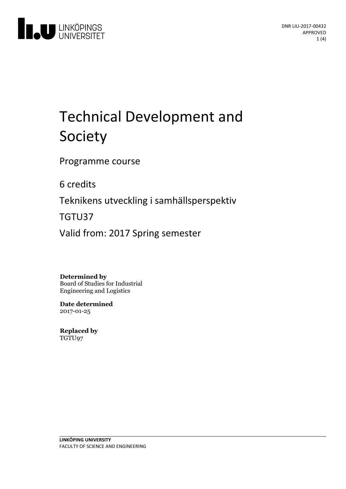

# **Technical Development and** Society

Programme course

6 credits

Teknikens utveckling i samhällsperspektiv

TGTU37

Valid from: 2017 Spring semester

#### **Determined by**

Board of Studies for Industrial Engineering and Logistics

**Date determined** 2017-01-25

**Replaced by** TGTU97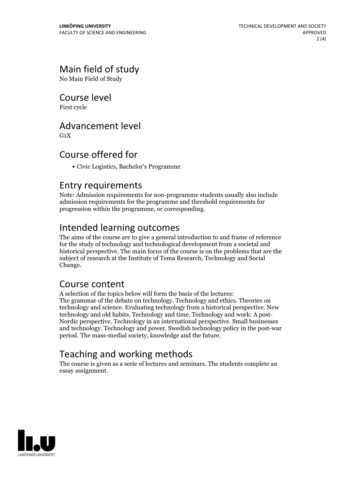# Main field of study

No Main Field of Study

### Course level

First cycle

### Advancement level

 $G_1X$ 

# Course offered for

Civic Logistics, Bachelor's Programme

#### Entry requirements

Note: Admission requirements for non-programme students usually also include admission requirements for the programme and threshold requirements for progression within the programme, or corresponding.

# Intended learning outcomes

The aims of the course are to give a general introduction to and frame of reference for the study of technology and technological development from a societaland historical perspective. The main focus of the course is on the problems that are the subject of research at the Institute of Tema Research, Technology and Social Change.

## Course content

A selection of the topics below will form the basis of the lectures: The grammar of the debate on technology. Technology and ethics. Theories on technology and science. Evaluating technology from a historical perspective. New Nordic perspective. Technology in an international perspective. Small businesses and technology. Technology and power. Swedish technology policy in the post-war period. The mass-medial society, knowledge and the future.

# Teaching and working methods

The course is given as a serie of lectures and seminars. The students complete an essay assignment.

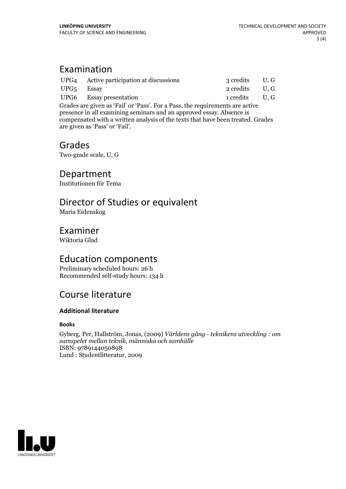# Examination

|                                                                               | UPG4 Active participation at discussions | 3 credits U, G |     |
|-------------------------------------------------------------------------------|------------------------------------------|----------------|-----|
| UPG5 Essay                                                                    |                                          | 2 credits      | U.G |
|                                                                               | UPG6 Essay presentation                  | 1 credits U.G  |     |
| Grades are given as 'Fail' or 'Pass'. For a Pass, the requirements are active |                                          |                |     |
| presence in all evamining seminars and an approved essay Absence is           |                                          |                |     |

presence in all examining seminars and an approved essay. Absence is compensated with a written analysis of the texts that have been treated. Grades are given as'Pass' or 'Fail'.

#### Grades

Two-grade scale, U, G

## Department

Institutionen för Tema

# Director of Studies or equivalent

Maria Eidenskog

#### Examiner

Wiktoria Glad

## Education components

Preliminary scheduled hours: 26 h Recommended self-study hours: 134 h

# Course literature

#### **Additional literature**

#### **Books**

Gyberg, Per, Hallström, Jonas, (2009) *Världens gång - teknikens utveckling : om samspelet mellan teknik, människa och samhälle* ISBN: 9789144050898 Lund : Studentlitteratur, 2009